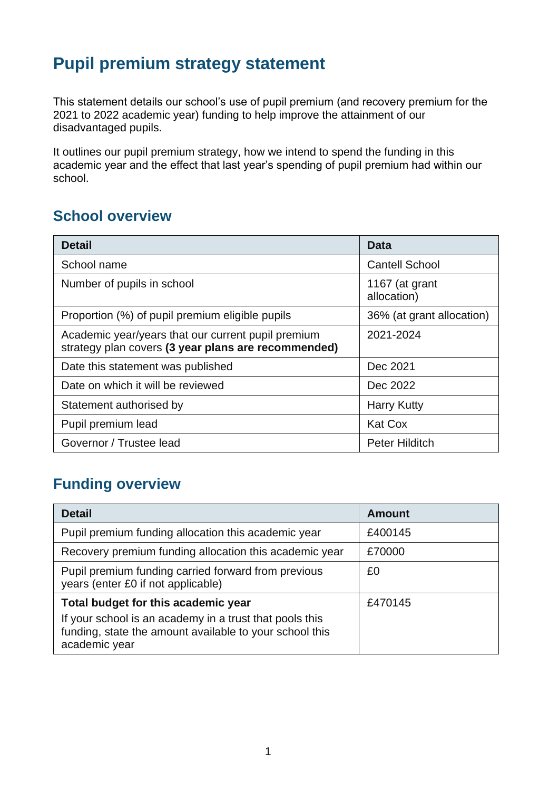# **Pupil premium strategy statement**

This statement details our school's use of pupil premium (and recovery premium for the 2021 to 2022 academic year) funding to help improve the attainment of our disadvantaged pupils.

It outlines our pupil premium strategy, how we intend to spend the funding in this academic year and the effect that last year's spending of pupil premium had within our school.

#### **School overview**

| <b>Detail</b>                                                                                             | Data                          |
|-----------------------------------------------------------------------------------------------------------|-------------------------------|
| School name                                                                                               | <b>Cantell School</b>         |
| Number of pupils in school                                                                                | 1167 (at grant<br>allocation) |
| Proportion (%) of pupil premium eligible pupils                                                           | 36% (at grant allocation)     |
| Academic year/years that our current pupil premium<br>strategy plan covers (3 year plans are recommended) | 2021-2024                     |
| Date this statement was published                                                                         | Dec 2021                      |
| Date on which it will be reviewed                                                                         | Dec 2022                      |
| Statement authorised by                                                                                   | <b>Harry Kutty</b>            |
| Pupil premium lead                                                                                        | <b>Kat Cox</b>                |
| Governor / Trustee lead                                                                                   | <b>Peter Hilditch</b>         |

## **Funding overview**

| <b>Detail</b>                                                                                                                       | <b>Amount</b> |
|-------------------------------------------------------------------------------------------------------------------------------------|---------------|
| Pupil premium funding allocation this academic year                                                                                 | £400145       |
| Recovery premium funding allocation this academic year                                                                              | £70000        |
| Pupil premium funding carried forward from previous<br>years (enter £0 if not applicable)                                           | £0            |
| Total budget for this academic year                                                                                                 | £470145       |
| If your school is an academy in a trust that pools this<br>funding, state the amount available to your school this<br>academic year |               |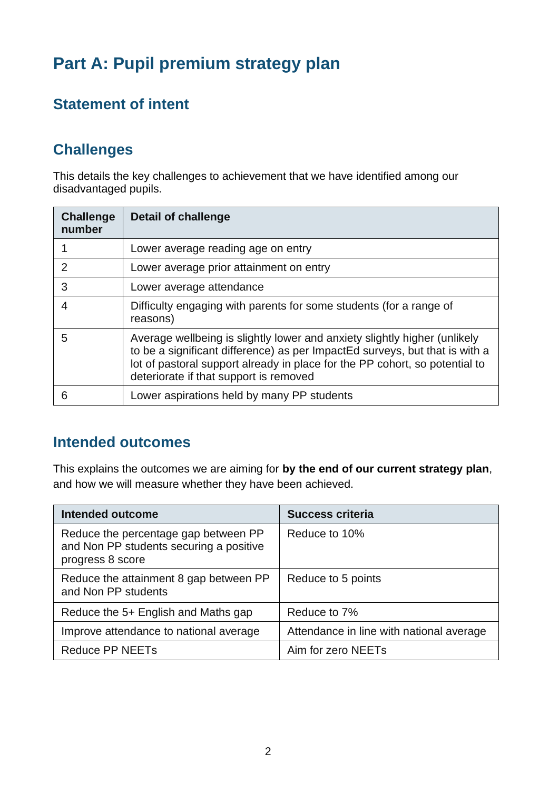# **Part A: Pupil premium strategy plan**

## **Statement of intent**

## **Challenges**

This details the key challenges to achievement that we have identified among our disadvantaged pupils.

| <b>Challenge</b><br>number | <b>Detail of challenge</b>                                                                                                                                                                                                                                                        |
|----------------------------|-----------------------------------------------------------------------------------------------------------------------------------------------------------------------------------------------------------------------------------------------------------------------------------|
|                            | Lower average reading age on entry                                                                                                                                                                                                                                                |
| 2                          | Lower average prior attainment on entry                                                                                                                                                                                                                                           |
| 3                          | Lower average attendance                                                                                                                                                                                                                                                          |
|                            | Difficulty engaging with parents for some students (for a range of<br>reasons)                                                                                                                                                                                                    |
| 5                          | Average wellbeing is slightly lower and anxiety slightly higher (unlikely<br>to be a significant difference) as per ImpactEd surveys, but that is with a<br>lot of pastoral support already in place for the PP cohort, so potential to<br>deteriorate if that support is removed |
| 6                          | Lower aspirations held by many PP students                                                                                                                                                                                                                                        |

#### **Intended outcomes**

This explains the outcomes we are aiming for **by the end of our current strategy plan**, and how we will measure whether they have been achieved.

| <b>Intended outcome</b>                                                                             | <b>Success criteria</b>                  |
|-----------------------------------------------------------------------------------------------------|------------------------------------------|
| Reduce the percentage gap between PP<br>and Non PP students securing a positive<br>progress 8 score | Reduce to 10%                            |
| Reduce the attainment 8 gap between PP<br>and Non PP students                                       | Reduce to 5 points                       |
| Reduce the 5+ English and Maths gap                                                                 | Reduce to 7%                             |
| Improve attendance to national average                                                              | Attendance in line with national average |
| <b>Reduce PP NEETs</b>                                                                              | Aim for zero NEETs                       |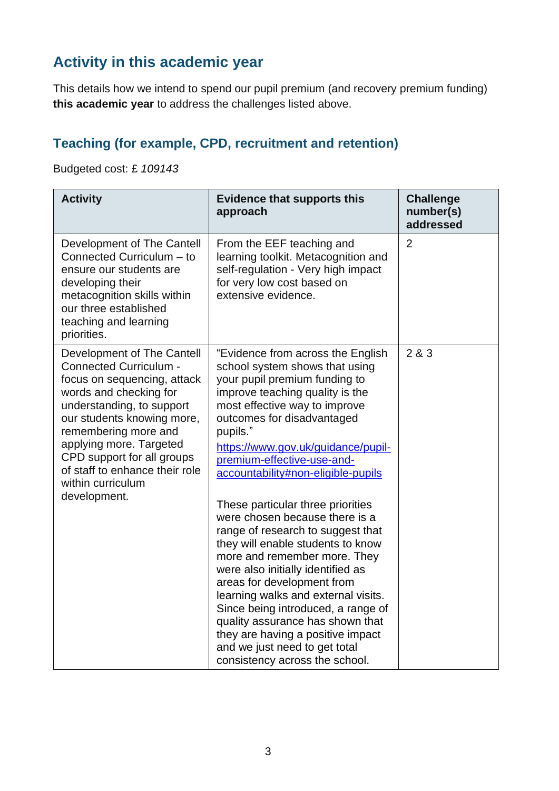## **Activity in this academic year**

This details how we intend to spend our pupil premium (and recovery premium funding) **this academic year** to address the challenges listed above.

#### **Teaching (for example, CPD, recruitment and retention)**

Budgeted cost: £ *109143*

| <b>Activity</b>                                                                                                                                                                                                                                                                                                                         | <b>Evidence that supports this</b><br>approach                                                                                                                                                                                                                                                                                                                                                                                                                                                                                                                                                                                                                                                                                                                                                            | <b>Challenge</b><br>number(s)<br>addressed |
|-----------------------------------------------------------------------------------------------------------------------------------------------------------------------------------------------------------------------------------------------------------------------------------------------------------------------------------------|-----------------------------------------------------------------------------------------------------------------------------------------------------------------------------------------------------------------------------------------------------------------------------------------------------------------------------------------------------------------------------------------------------------------------------------------------------------------------------------------------------------------------------------------------------------------------------------------------------------------------------------------------------------------------------------------------------------------------------------------------------------------------------------------------------------|--------------------------------------------|
| Development of The Cantell<br>Connected Curriculum - to<br>ensure our students are<br>developing their<br>metacognition skills within<br>our three established<br>teaching and learning<br>priorities.                                                                                                                                  | From the EEF teaching and<br>learning toolkit. Metacognition and<br>self-regulation - Very high impact<br>for very low cost based on<br>extensive evidence.                                                                                                                                                                                                                                                                                                                                                                                                                                                                                                                                                                                                                                               | $\overline{2}$                             |
| Development of The Cantell<br><b>Connected Curriculum -</b><br>focus on sequencing, attack<br>words and checking for<br>understanding, to support<br>our students knowing more,<br>remembering more and<br>applying more. Targeted<br>CPD support for all groups<br>of staff to enhance their role<br>within curriculum<br>development. | "Evidence from across the English<br>school system shows that using<br>your pupil premium funding to<br>improve teaching quality is the<br>most effective way to improve<br>outcomes for disadvantaged<br>pupils."<br>https://www.gov.uk/guidance/pupil-<br>premium-effective-use-and-<br>accountability#non-eligible-pupils<br>These particular three priorities<br>were chosen because there is a<br>range of research to suggest that<br>they will enable students to know<br>more and remember more. They<br>were also initially identified as<br>areas for development from<br>learning walks and external visits.<br>Since being introduced, a range of<br>quality assurance has shown that<br>they are having a positive impact<br>and we just need to get total<br>consistency across the school. | 2 & 3                                      |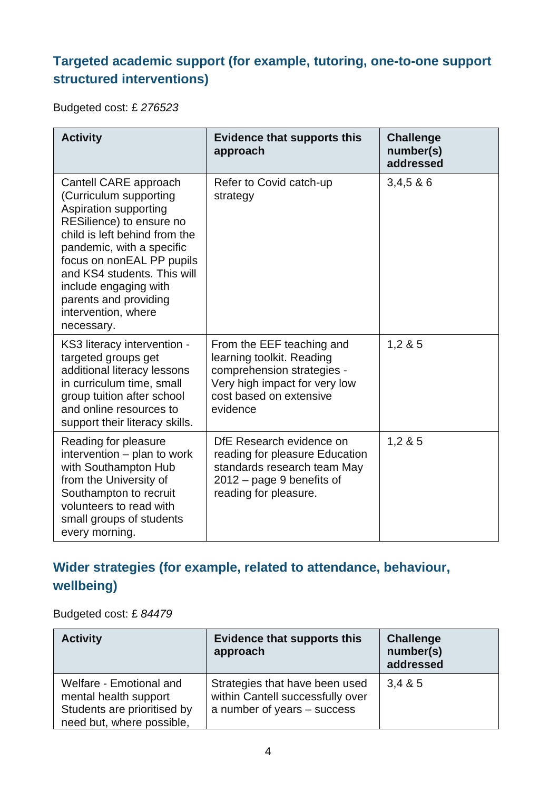#### **Targeted academic support (for example, tutoring, one-to-one support structured interventions)**

Budgeted cost: £ *276523*

| <b>Activity</b>                                                                                                                                                                                                                                                                                                       | <b>Evidence that supports this</b><br>approach                                                                                                               | <b>Challenge</b><br>number(s)<br>addressed |
|-----------------------------------------------------------------------------------------------------------------------------------------------------------------------------------------------------------------------------------------------------------------------------------------------------------------------|--------------------------------------------------------------------------------------------------------------------------------------------------------------|--------------------------------------------|
| Cantell CARE approach<br>(Curriculum supporting<br>Aspiration supporting<br>RESilience) to ensure no<br>child is left behind from the<br>pandemic, with a specific<br>focus on nonEAL PP pupils<br>and KS4 students. This will<br>include engaging with<br>parents and providing<br>intervention, where<br>necessary. | Refer to Covid catch-up<br>strategy                                                                                                                          | 3,4,586                                    |
| KS3 literacy intervention -<br>targeted groups get<br>additional literacy lessons<br>in curriculum time, small<br>group tuition after school<br>and online resources to<br>support their literacy skills.                                                                                                             | From the EEF teaching and<br>learning toolkit. Reading<br>comprehension strategies -<br>Very high impact for very low<br>cost based on extensive<br>evidence | 1,285                                      |
| Reading for pleasure<br>intervention - plan to work<br>with Southampton Hub<br>from the University of<br>Southampton to recruit<br>volunteers to read with<br>small groups of students<br>every morning.                                                                                                              | DfE Research evidence on<br>reading for pleasure Education<br>standards research team May<br>$2012$ – page 9 benefits of<br>reading for pleasure.            | 1,285                                      |

## **Wider strategies (for example, related to attendance, behaviour, wellbeing)**

Budgeted cost: £ *84479*

| <b>Activity</b>                                                                                              | <b>Evidence that supports this</b><br>approach                                                    | <b>Challenge</b><br>number(s)<br>addressed |
|--------------------------------------------------------------------------------------------------------------|---------------------------------------------------------------------------------------------------|--------------------------------------------|
| Welfare - Emotional and<br>mental health support<br>Students are prioritised by<br>need but, where possible, | Strategies that have been used<br>within Cantell successfully over<br>a number of years - success | 3,485                                      |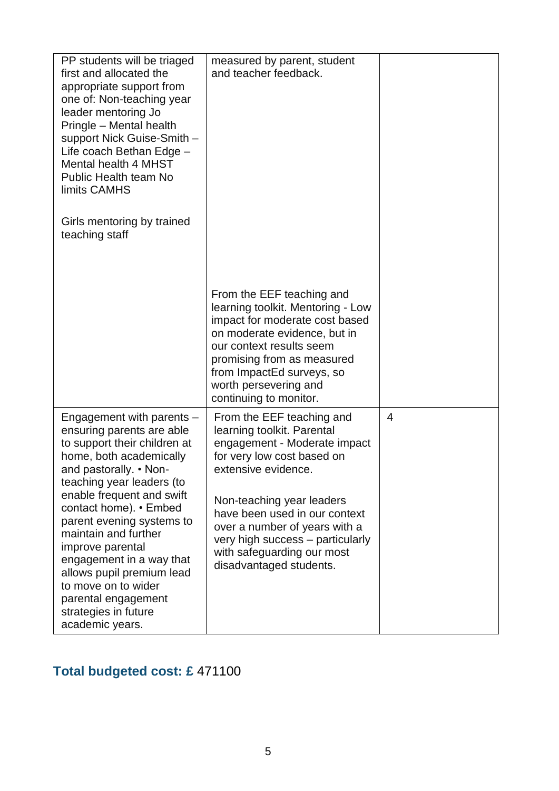| PP students will be triaged<br>first and allocated the<br>appropriate support from<br>one of: Non-teaching year<br>leader mentoring Jo<br>Pringle - Mental health<br>support Nick Guise-Smith -<br>Life coach Bethan Edge -<br><b>Mental health 4 MHST</b><br><b>Public Health team No</b><br>limits CAMHS<br>Girls mentoring by trained<br>teaching staff                                                                                                 | measured by parent, student<br>and teacher feedback.                                                                                                                                                                                                                                                                                     |                |
|------------------------------------------------------------------------------------------------------------------------------------------------------------------------------------------------------------------------------------------------------------------------------------------------------------------------------------------------------------------------------------------------------------------------------------------------------------|------------------------------------------------------------------------------------------------------------------------------------------------------------------------------------------------------------------------------------------------------------------------------------------------------------------------------------------|----------------|
|                                                                                                                                                                                                                                                                                                                                                                                                                                                            | From the EEF teaching and<br>learning toolkit. Mentoring - Low<br>impact for moderate cost based<br>on moderate evidence, but in<br>our context results seem<br>promising from as measured<br>from ImpactEd surveys, so<br>worth persevering and<br>continuing to monitor.                                                               |                |
| Engagement with parents -<br>ensuring parents are able<br>to support their children at<br>home, both academically<br>and pastorally. • Non-<br>teaching year leaders (to<br>enable frequent and swift<br>contact home). • Embed<br>parent evening systems to<br>maintain and further<br>improve parental<br>engagement in a way that<br>allows pupil premium lead<br>to move on to wider<br>parental engagement<br>strategies in future<br>academic years. | From the EEF teaching and<br>learning toolkit. Parental<br>engagement - Moderate impact<br>for very low cost based on<br>extensive evidence.<br>Non-teaching year leaders<br>have been used in our context<br>over a number of years with a<br>very high success – particularly<br>with safeguarding our most<br>disadvantaged students. | $\overline{4}$ |

## **Total budgeted cost: £** 471100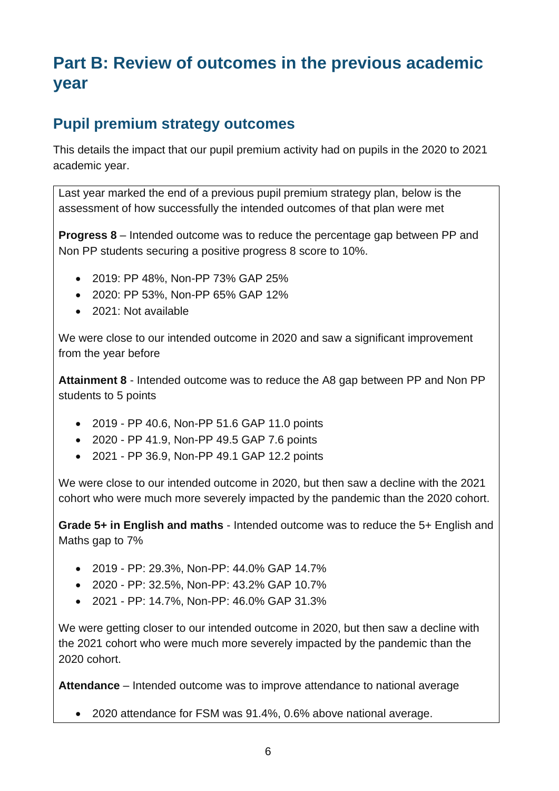# **Part B: Review of outcomes in the previous academic year**

#### **Pupil premium strategy outcomes**

This details the impact that our pupil premium activity had on pupils in the 2020 to 2021 academic year.

Last year marked the end of a previous pupil premium strategy plan, below is the assessment of how successfully the intended outcomes of that plan were met

**Progress 8** – Intended outcome was to reduce the percentage gap between PP and Non PP students securing a positive progress 8 score to 10%.

- 2019: PP 48%, Non-PP 73% GAP 25%
- 2020: PP 53%, Non-PP 65% GAP 12%
- 2021: Not available

We were close to our intended outcome in 2020 and saw a significant improvement from the year before

**Attainment 8** - Intended outcome was to reduce the A8 gap between PP and Non PP students to 5 points

- 2019 PP 40.6, Non-PP 51.6 GAP 11.0 points
- 2020 PP 41.9, Non-PP 49.5 GAP 7.6 points
- 2021 PP 36.9, Non-PP 49.1 GAP 12.2 points

We were close to our intended outcome in 2020, but then saw a decline with the 2021 cohort who were much more severely impacted by the pandemic than the 2020 cohort.

**Grade 5+ in English and maths** - Intended outcome was to reduce the 5+ English and Maths gap to 7%

- 2019 PP: 29.3%, Non-PP: 44.0% GAP 14.7%
- 2020 PP: 32.5%, Non-PP: 43.2% GAP 10.7%
- 2021 PP: 14.7%, Non-PP: 46.0% GAP 31.3%

We were getting closer to our intended outcome in 2020, but then saw a decline with the 2021 cohort who were much more severely impacted by the pandemic than the 2020 cohort.

**Attendance** – Intended outcome was to improve attendance to national average

• 2020 attendance for FSM was 91.4%, 0.6% above national average.